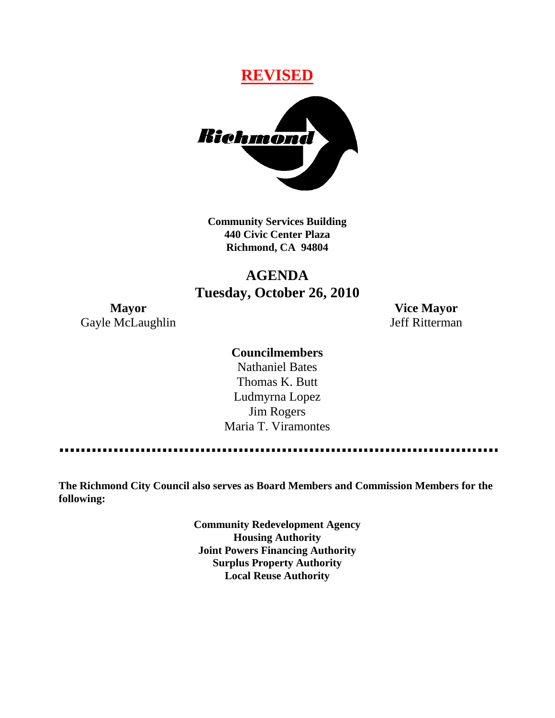# **REVISED**



**Community Services Building 440 Civic Center Plaza Richmond, CA 94804**

# **AGENDA Tuesday, October 26, 2010**

**Mayor Vice Mayor** Gayle McLaughlin Jeff Ritterman

### **Councilmembers**

Nathaniel Bates Thomas K. Butt Ludmyrna Lopez Jim Rogers Maria T. Viramontes

**The Richmond City Council also serves as Board Members and Commission Members for the following:**

> **Community Redevelopment Agency Housing Authority Joint Powers Financing Authority Surplus Property Authority Local Reuse Authority**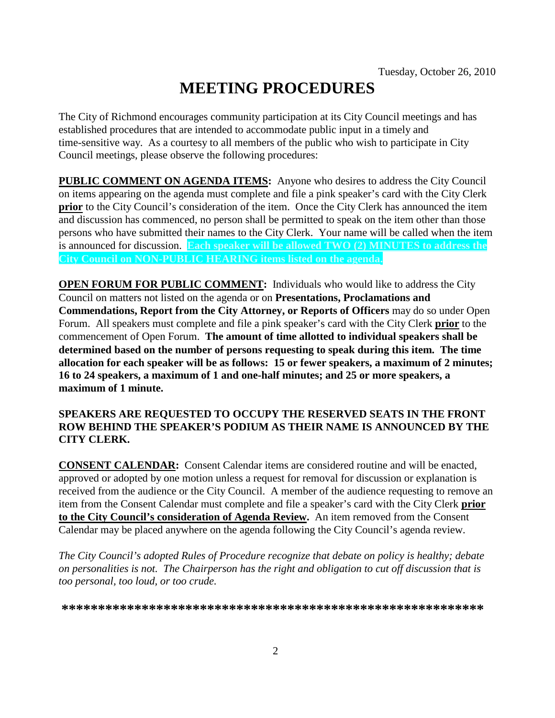# **MEETING PROCEDURES**

The City of Richmond encourages community participation at its City Council meetings and has established procedures that are intended to accommodate public input in a timely and time-sensitive way. As a courtesy to all members of the public who wish to participate in City Council meetings, please observe the following procedures:

**PUBLIC COMMENT ON AGENDA ITEMS:** Anyone who desires to address the City Council on items appearing on the agenda must complete and file a pink speaker's card with the City Clerk **prior** to the City Council's consideration of the item. Once the City Clerk has announced the item and discussion has commenced, no person shall be permitted to speak on the item other than those persons who have submitted their names to the City Clerk. Your name will be called when the item is announced for discussion. **Each speaker will be allowed TWO (2) MINUTES to address the City Council on NON-PUBLIC HEARING items listed on the agenda.**

**OPEN FORUM FOR PUBLIC COMMENT:** Individuals who would like to address the City Council on matters not listed on the agenda or on **Presentations, Proclamations and Commendations, Report from the City Attorney, or Reports of Officers** may do so under Open Forum. All speakers must complete and file a pink speaker's card with the City Clerk **prior** to the commencement of Open Forum. **The amount of time allotted to individual speakers shall be determined based on the number of persons requesting to speak during this item. The time allocation for each speaker will be as follows: 15 or fewer speakers, a maximum of 2 minutes; 16 to 24 speakers, a maximum of 1 and one-half minutes; and 25 or more speakers, a maximum of 1 minute.**

### **SPEAKERS ARE REQUESTED TO OCCUPY THE RESERVED SEATS IN THE FRONT ROW BEHIND THE SPEAKER'S PODIUM AS THEIR NAME IS ANNOUNCED BY THE CITY CLERK.**

**CONSENT CALENDAR:** Consent Calendar items are considered routine and will be enacted, approved or adopted by one motion unless a request for removal for discussion or explanation is received from the audience or the City Council. A member of the audience requesting to remove an item from the Consent Calendar must complete and file a speaker's card with the City Clerk **prior to the City Council's consideration of Agenda Review.** An item removed from the Consent Calendar may be placed anywhere on the agenda following the City Council's agenda review.

*The City Council's adopted Rules of Procedure recognize that debate on policy is healthy; debate on personalities is not. The Chairperson has the right and obligation to cut off discussion that is too personal, too loud, or too crude.*

**\*\*\*\*\*\*\*\*\*\*\*\*\*\*\*\*\*\*\*\*\*\*\*\*\*\*\*\*\*\*\*\*\*\*\*\*\*\*\*\*\*\*\*\*\*\*\*\*\*\*\*\*\*\*\*\*\*\***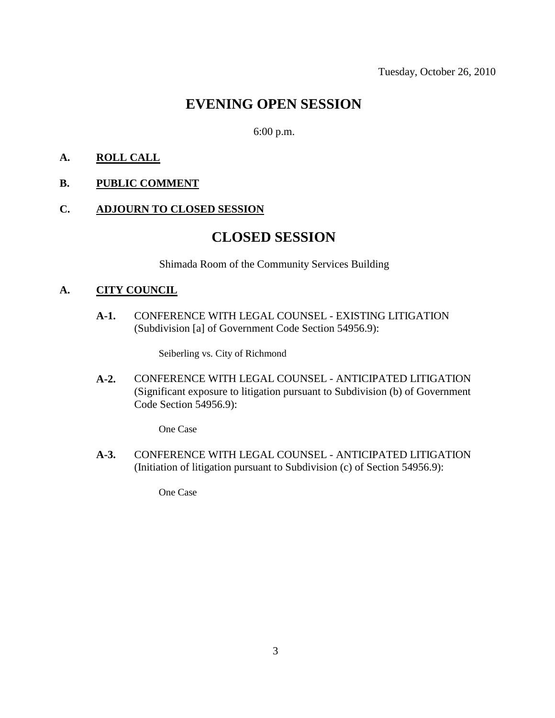## **EVENING OPEN SESSION**

6:00 p.m.

### **A. ROLL CALL**

### **B. PUBLIC COMMENT**

### **C. ADJOURN TO CLOSED SESSION**

### **CLOSED SESSION**

Shimada Room of the Community Services Building

### **A. CITY COUNCIL**

**A-1.** CONFERENCE WITH LEGAL COUNSEL - EXISTING LITIGATION (Subdivision [a] of Government Code Section 54956.9):

Seiberling vs. City of Richmond

**A-2.** CONFERENCE WITH LEGAL COUNSEL - ANTICIPATED LITIGATION (Significant exposure to litigation pursuant to Subdivision (b) of Government Code Section 54956.9):

One Case

**A-3.** CONFERENCE WITH LEGAL COUNSEL - ANTICIPATED LITIGATION (Initiation of litigation pursuant to Subdivision (c) of Section 54956.9):

One Case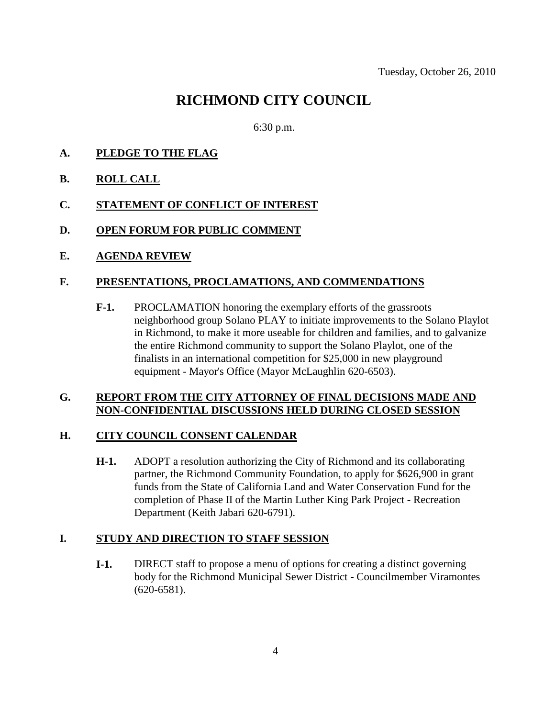# **RICHMOND CITY COUNCIL**

6:30 p.m.

- **A. PLEDGE TO THE FLAG**
- **B. ROLL CALL**
- **C. STATEMENT OF CONFLICT OF INTEREST**
- **D. OPEN FORUM FOR PUBLIC COMMENT**
- **E. AGENDA REVIEW**

### **F. PRESENTATIONS, PROCLAMATIONS, AND COMMENDATIONS**

**F-1.** PROCLAMATION honoring the exemplary efforts of the grassroots neighborhood group Solano PLAY to initiate improvements to the Solano Playlot in Richmond, to make it more useable for children and families, and to galvanize the entire Richmond community to support the Solano Playlot, one of the finalists in an international competition for \$25,000 in new playground equipment - Mayor's Office (Mayor McLaughlin 620-6503).

#### **G. REPORT FROM THE CITY ATTORNEY OF FINAL DECISIONS MADE AND NON-CONFIDENTIAL DISCUSSIONS HELD DURING CLOSED SESSION**

### **H. CITY COUNCIL CONSENT CALENDAR**

**H-1.** ADOPT a resolution authorizing the City of Richmond and its collaborating partner, the Richmond Community Foundation, to apply for \$626,900 in grant funds from the State of California Land and Water Conservation Fund for the completion of Phase II of the Martin Luther King Park Project - Recreation Department (Keith Jabari 620-6791).

### **I. STUDY AND DIRECTION TO STAFF SESSION**

**I-1.** DIRECT staff to propose a menu of options for creating a distinct governing body for the Richmond Municipal Sewer District - Councilmember Viramontes (620-6581).